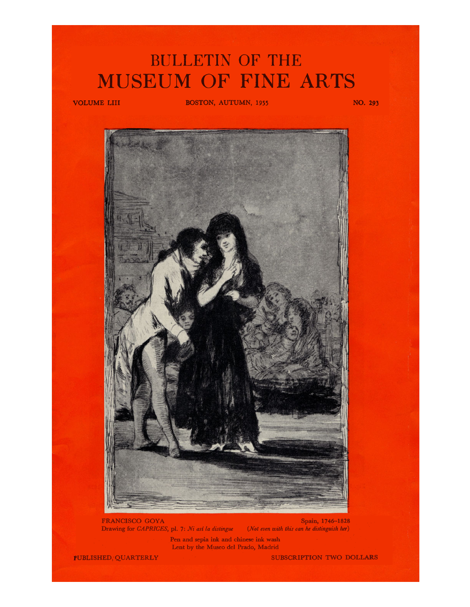## **BULLETIN OF THE**  MUSEUM OF FINE ARTS

**VOLUME LIII BOSTON, AUTUMN, 1955 NO.** *293* 



**FRANCISCO GOYA** Spain, 1746-1828 **Drawing for** *CAPRICES,* **pl. 7:** *Ni asi la distingue (Not even with this* **can** *he distinguish her)* 

**Pen and sepia ink and Chinese ink wash Lent by the Museo del Prado, Madrid** 

**PUBLISHED, QUARTERLY SUBSCRIPTION TWO DOLLARS**